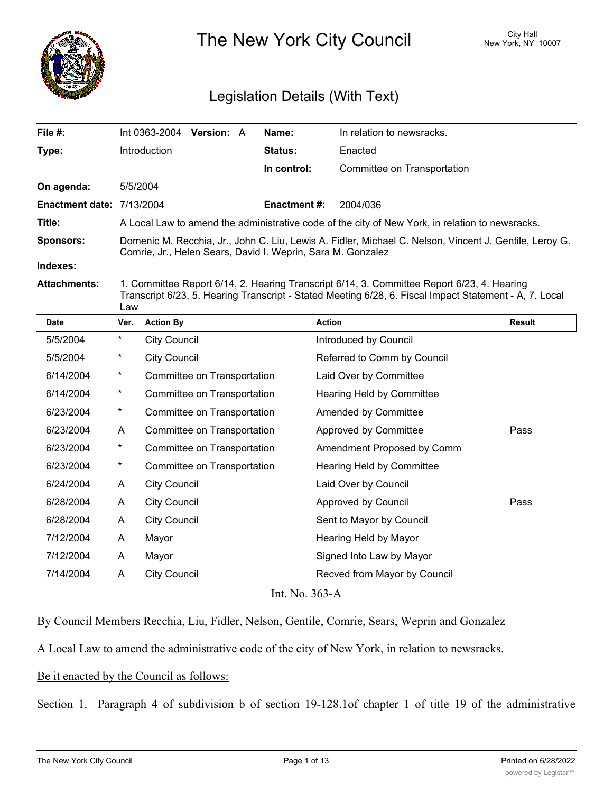

The New York City Council New York, NY 10007

# Legislation Details (With Text)

| File $#$ :                       | $Int 0363-2004$ Version: A                                                                                                                                            | Name:               | In relation to newsracks.   |  |
|----------------------------------|-----------------------------------------------------------------------------------------------------------------------------------------------------------------------|---------------------|-----------------------------|--|
| Type:                            | Introduction                                                                                                                                                          | <b>Status:</b>      | Enacted                     |  |
|                                  |                                                                                                                                                                       | In control:         | Committee on Transportation |  |
| On agenda:                       | 5/5/2004                                                                                                                                                              |                     |                             |  |
| <b>Enactment date: 7/13/2004</b> |                                                                                                                                                                       | <b>Enactment #:</b> | 2004/036                    |  |
| Title:                           | A Local Law to amend the administrative code of the city of New York, in relation to newsracks.                                                                       |                     |                             |  |
| <b>Sponsors:</b>                 | Domenic M. Recchia, Jr., John C. Liu, Lewis A. Fidler, Michael C. Nelson, Vincent J. Gentile, Leroy G.<br>Comrie, Jr., Helen Sears, David I. Weprin, Sara M. Gonzalez |                     |                             |  |
| Indexes:                         |                                                                                                                                                                       |                     |                             |  |
| Attachmonte:                     | 1 Committee Report 6/14 2 Hearing Transcript 6/14 3 Committee Report 6/23 4 Hearing                                                                                   |                     |                             |  |

**Attachments:** 1. Committee Report 6/14, 2. Hearing Transcript 6/14, 3. Committee Report 6/23, 4. Hearing Transcript 6/23, 5. Hearing Transcript - Stated Meeting 6/28, 6. Fiscal Impact Statement - A, 7. Local Law

| <b>Date</b>    | Ver.     | <b>Action By</b>            | <b>Action</b>                | Result |
|----------------|----------|-----------------------------|------------------------------|--------|
| 5/5/2004       | $^\star$ | <b>City Council</b>         | Introduced by Council        |        |
| 5/5/2004       | $^\star$ | <b>City Council</b>         | Referred to Comm by Council  |        |
| 6/14/2004      | $\ast$   | Committee on Transportation | Laid Over by Committee       |        |
| 6/14/2004      | $\ast$   | Committee on Transportation | Hearing Held by Committee    |        |
| 6/23/2004      | $\star$  | Committee on Transportation | Amended by Committee         |        |
| 6/23/2004      | A        | Committee on Transportation | Approved by Committee        | Pass   |
| 6/23/2004      | $\ast$   | Committee on Transportation | Amendment Proposed by Comm   |        |
| 6/23/2004      | $\star$  | Committee on Transportation | Hearing Held by Committee    |        |
| 6/24/2004      | A        | <b>City Council</b>         | Laid Over by Council         |        |
| 6/28/2004      | A        | <b>City Council</b>         | Approved by Council          | Pass   |
| 6/28/2004      | A        | <b>City Council</b>         | Sent to Mayor by Council     |        |
| 7/12/2004      | A        | Mayor                       | Hearing Held by Mayor        |        |
| 7/12/2004      | A        | Mayor                       | Signed Into Law by Mayor     |        |
| 7/14/2004      | A        | <b>City Council</b>         | Recved from Mayor by Council |        |
| Int. No. 363-A |          |                             |                              |        |

By Council Members Recchia, Liu, Fidler, Nelson, Gentile, Comrie, Sears, Weprin and Gonzalez

A Local Law to amend the administrative code of the city of New York, in relation to newsracks.

# Be it enacted by the Council as follows:

Section 1. Paragraph 4 of subdivision b of section 19-128.1of chapter 1 of title 19 of the administrative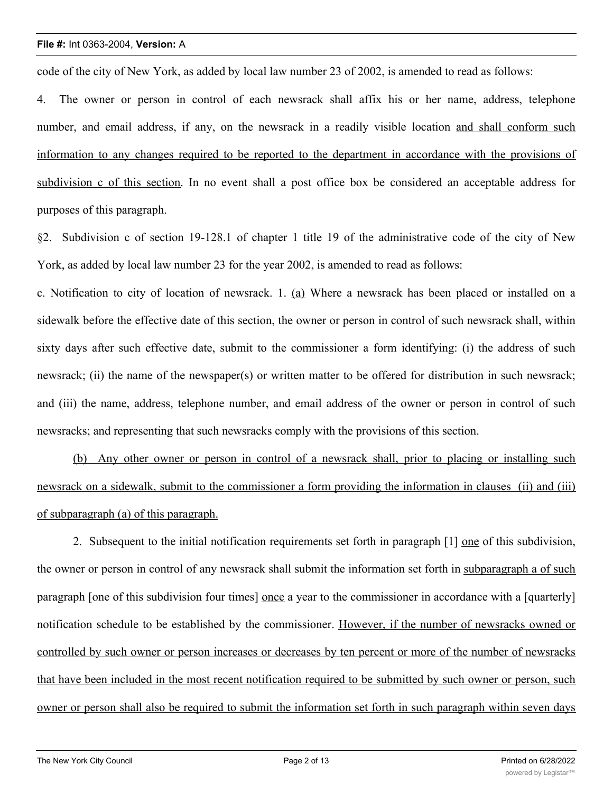code of the city of New York, as added by local law number 23 of 2002, is amended to read as follows:

4. The owner or person in control of each newsrack shall affix his or her name, address, telephone number, and email address, if any, on the newsrack in a readily visible location and shall conform such information to any changes required to be reported to the department in accordance with the provisions of subdivision c of this section. In no event shall a post office box be considered an acceptable address for purposes of this paragraph.

§2. Subdivision c of section 19-128.1 of chapter 1 title 19 of the administrative code of the city of New York, as added by local law number 23 for the year 2002, is amended to read as follows:

c. Notification to city of location of newsrack. 1. (a) Where a newsrack has been placed or installed on a sidewalk before the effective date of this section, the owner or person in control of such newsrack shall, within sixty days after such effective date, submit to the commissioner a form identifying: (i) the address of such newsrack; (ii) the name of the newspaper(s) or written matter to be offered for distribution in such newsrack; and (iii) the name, address, telephone number, and email address of the owner or person in control of such newsracks; and representing that such newsracks comply with the provisions of this section.

(b) Any other owner or person in control of a newsrack shall, prior to placing or installing such newsrack on a sidewalk, submit to the commissioner a form providing the information in clauses (ii) and (iii) of subparagraph (a) of this paragraph.

2. Subsequent to the initial notification requirements set forth in paragraph [1] one of this subdivision, the owner or person in control of any newsrack shall submit the information set forth in subparagraph a of such paragraph [one of this subdivision four times] once a year to the commissioner in accordance with a [quarterly] notification schedule to be established by the commissioner. However, if the number of newsracks owned or controlled by such owner or person increases or decreases by ten percent or more of the number of newsracks that have been included in the most recent notification required to be submitted by such owner or person, such owner or person shall also be required to submit the information set forth in such paragraph within seven days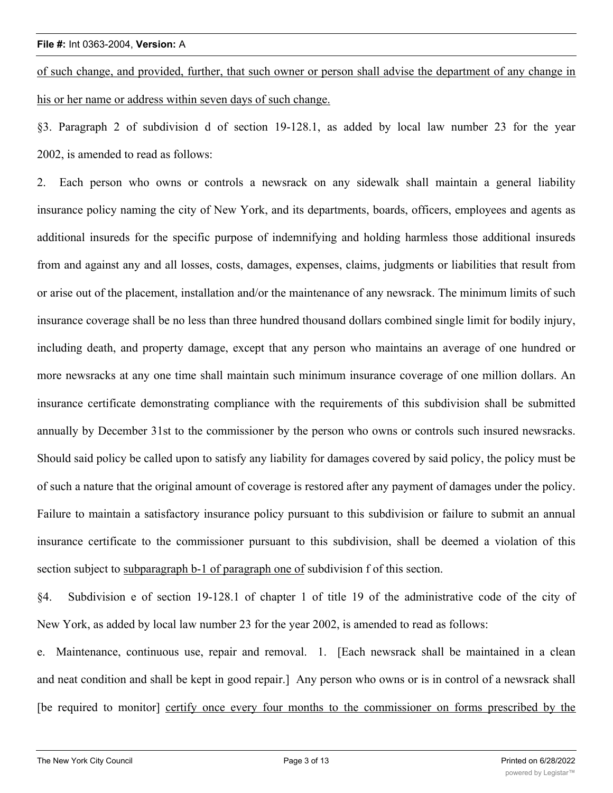of such change, and provided, further, that such owner or person shall advise the department of any change in his or her name or address within seven days of such change.

§3. Paragraph 2 of subdivision d of section 19-128.1, as added by local law number 23 for the year 2002, is amended to read as follows:

2. Each person who owns or controls a newsrack on any sidewalk shall maintain a general liability insurance policy naming the city of New York, and its departments, boards, officers, employees and agents as additional insureds for the specific purpose of indemnifying and holding harmless those additional insureds from and against any and all losses, costs, damages, expenses, claims, judgments or liabilities that result from or arise out of the placement, installation and/or the maintenance of any newsrack. The minimum limits of such insurance coverage shall be no less than three hundred thousand dollars combined single limit for bodily injury, including death, and property damage, except that any person who maintains an average of one hundred or more newsracks at any one time shall maintain such minimum insurance coverage of one million dollars. An insurance certificate demonstrating compliance with the requirements of this subdivision shall be submitted annually by December 31st to the commissioner by the person who owns or controls such insured newsracks. Should said policy be called upon to satisfy any liability for damages covered by said policy, the policy must be of such a nature that the original amount of coverage is restored after any payment of damages under the policy. Failure to maintain a satisfactory insurance policy pursuant to this subdivision or failure to submit an annual insurance certificate to the commissioner pursuant to this subdivision, shall be deemed a violation of this section subject to subparagraph b-1 of paragraph one of subdivision f of this section.

§4. Subdivision e of section 19-128.1 of chapter 1 of title 19 of the administrative code of the city of New York, as added by local law number 23 for the year 2002, is amended to read as follows:

e. Maintenance, continuous use, repair and removal. 1. [Each newsrack shall be maintained in a clean and neat condition and shall be kept in good repair.] Any person who owns or is in control of a newsrack shall [be required to monitor] certify once every four months to the commissioner on forms prescribed by the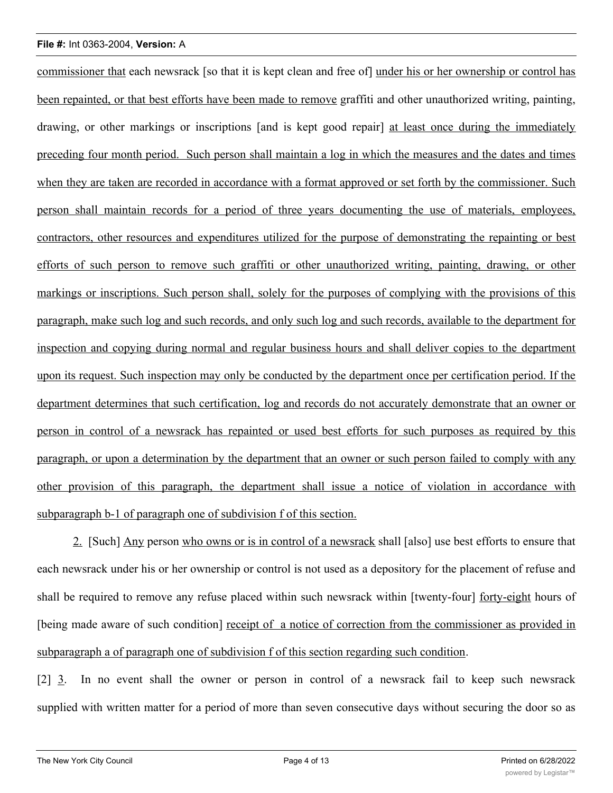commissioner that each newsrack [so that it is kept clean and free of] under his or her ownership or control has been repainted, or that best efforts have been made to remove graffiti and other unauthorized writing, painting, drawing, or other markings or inscriptions [and is kept good repair] at least once during the immediately preceding four month period. Such person shall maintain a log in which the measures and the dates and times when they are taken are recorded in accordance with a format approved or set forth by the commissioner. Such person shall maintain records for a period of three years documenting the use of materials, employees, contractors, other resources and expenditures utilized for the purpose of demonstrating the repainting or best efforts of such person to remove such graffiti or other unauthorized writing, painting, drawing, or other markings or inscriptions. Such person shall, solely for the purposes of complying with the provisions of this paragraph, make such log and such records, and only such log and such records, available to the department for inspection and copying during normal and regular business hours and shall deliver copies to the department upon its request. Such inspection may only be conducted by the department once per certification period. If the department determines that such certification, log and records do not accurately demonstrate that an owner or person in control of a newsrack has repainted or used best efforts for such purposes as required by this paragraph, or upon a determination by the department that an owner or such person failed to comply with any other provision of this paragraph, the department shall issue a notice of violation in accordance with subparagraph b-1 of paragraph one of subdivision f of this section.

2. [Such] Any person who owns or is in control of a newsrack shall [also] use best efforts to ensure that each newsrack under his or her ownership or control is not used as a depository for the placement of refuse and shall be required to remove any refuse placed within such newsrack within [twenty-four] forty-eight hours of [being made aware of such condition] receipt of a notice of correction from the commissioner as provided in subparagraph a of paragraph one of subdivision f of this section regarding such condition.

[2] 3. In no event shall the owner or person in control of a newsrack fail to keep such newsrack supplied with written matter for a period of more than seven consecutive days without securing the door so as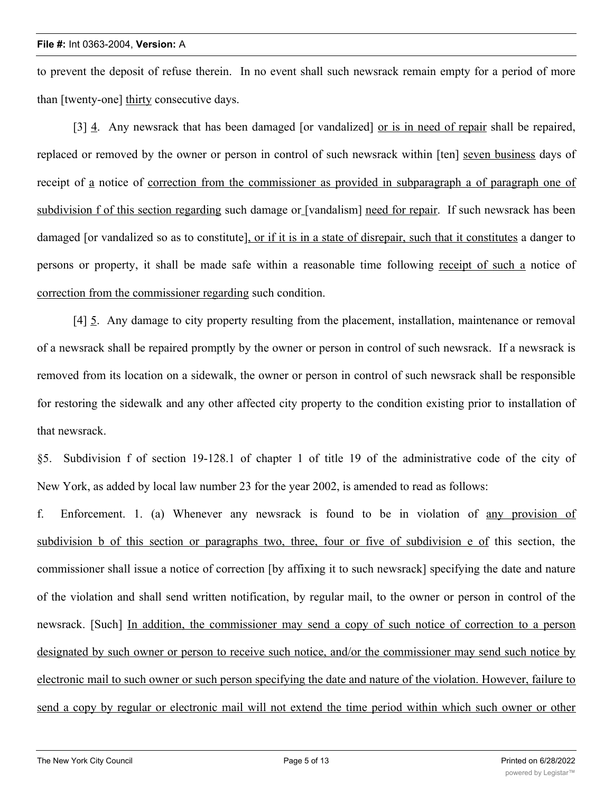to prevent the deposit of refuse therein. In no event shall such newsrack remain empty for a period of more than [twenty-one] thirty consecutive days.

[3] 4. Any newsrack that has been damaged [or vandalized] or is in need of repair shall be repaired, replaced or removed by the owner or person in control of such newsrack within [ten] seven business days of receipt of a notice of correction from the commissioner as provided in subparagraph a of paragraph one of subdivision f of this section regarding such damage or [vandalism] need for repair. If such newsrack has been damaged [or vandalized so as to constitute], or if it is in a state of disrepair, such that it constitutes a danger to persons or property, it shall be made safe within a reasonable time following receipt of such a notice of correction from the commissioner regarding such condition.

[4] 5. Any damage to city property resulting from the placement, installation, maintenance or removal of a newsrack shall be repaired promptly by the owner or person in control of such newsrack. If a newsrack is removed from its location on a sidewalk, the owner or person in control of such newsrack shall be responsible for restoring the sidewalk and any other affected city property to the condition existing prior to installation of that newsrack.

§5. Subdivision f of section 19-128.1 of chapter 1 of title 19 of the administrative code of the city of New York, as added by local law number 23 for the year 2002, is amended to read as follows:

f. Enforcement. 1. (a) Whenever any newsrack is found to be in violation of any provision of subdivision b of this section or paragraphs two, three, four or five of subdivision e of this section, the commissioner shall issue a notice of correction [by affixing it to such newsrack] specifying the date and nature of the violation and shall send written notification, by regular mail, to the owner or person in control of the newsrack. [Such] In addition, the commissioner may send a copy of such notice of correction to a person designated by such owner or person to receive such notice, and/or the commissioner may send such notice by electronic mail to such owner or such person specifying the date and nature of the violation. However, failure to send a copy by regular or electronic mail will not extend the time period within which such owner or other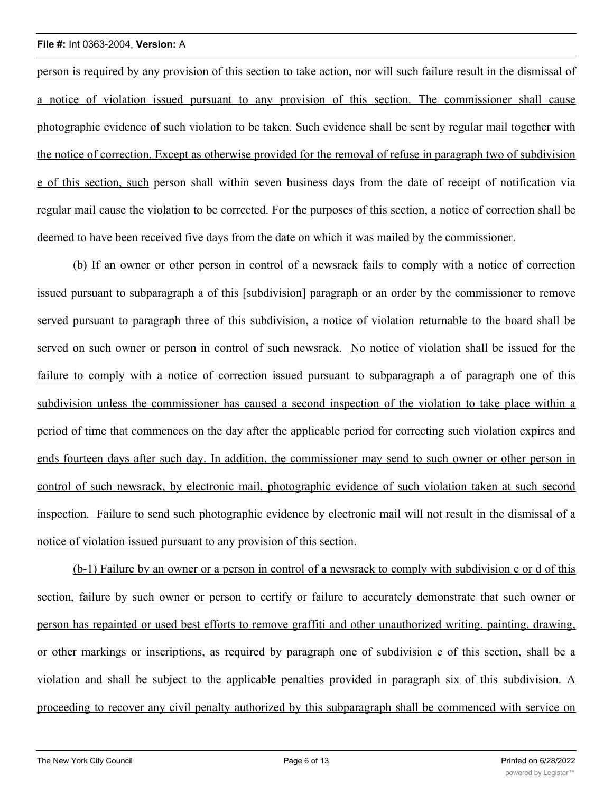person is required by any provision of this section to take action, nor will such failure result in the dismissal of a notice of violation issued pursuant to any provision of this section. The commissioner shall cause photographic evidence of such violation to be taken. Such evidence shall be sent by regular mail together with the notice of correction. Except as otherwise provided for the removal of refuse in paragraph two of subdivision e of this section, such person shall within seven business days from the date of receipt of notification via regular mail cause the violation to be corrected. For the purposes of this section, a notice of correction shall be deemed to have been received five days from the date on which it was mailed by the commissioner.

(b) If an owner or other person in control of a newsrack fails to comply with a notice of correction issued pursuant to subparagraph a of this [subdivision] paragraph or an order by the commissioner to remove served pursuant to paragraph three of this subdivision, a notice of violation returnable to the board shall be served on such owner or person in control of such newsrack. No notice of violation shall be issued for the failure to comply with a notice of correction issued pursuant to subparagraph a of paragraph one of this subdivision unless the commissioner has caused a second inspection of the violation to take place within a period of time that commences on the day after the applicable period for correcting such violation expires and ends fourteen days after such day. In addition, the commissioner may send to such owner or other person in control of such newsrack, by electronic mail, photographic evidence of such violation taken at such second inspection. Failure to send such photographic evidence by electronic mail will not result in the dismissal of a notice of violation issued pursuant to any provision of this section.

(b-1) Failure by an owner or a person in control of a newsrack to comply with subdivision c or d of this section, failure by such owner or person to certify or failure to accurately demonstrate that such owner or person has repainted or used best efforts to remove graffiti and other unauthorized writing, painting, drawing, or other markings or inscriptions, as required by paragraph one of subdivision e of this section, shall be a violation and shall be subject to the applicable penalties provided in paragraph six of this subdivision. A proceeding to recover any civil penalty authorized by this subparagraph shall be commenced with service on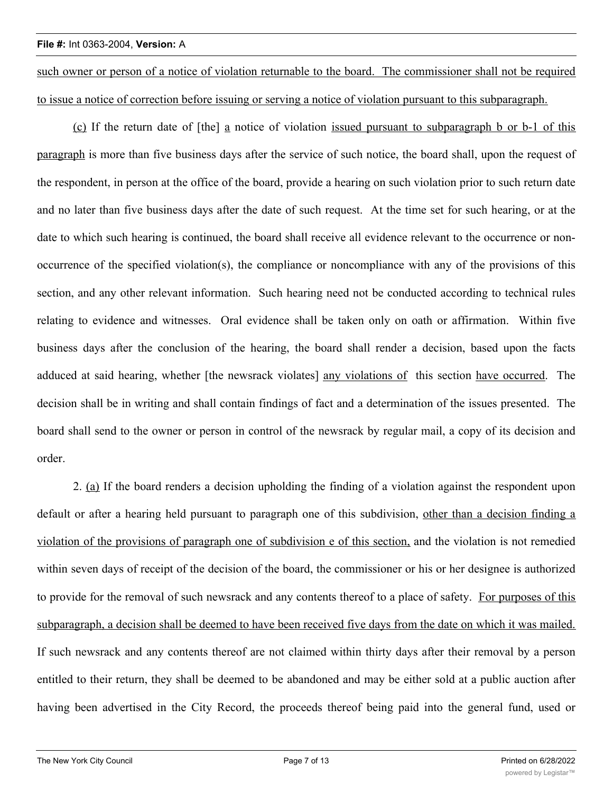such owner or person of a notice of violation returnable to the board. The commissioner shall not be required to issue a notice of correction before issuing or serving a notice of violation pursuant to this subparagraph.

(c) If the return date of [the] a notice of violation issued pursuant to subparagraph b or b-1 of this paragraph is more than five business days after the service of such notice, the board shall, upon the request of the respondent, in person at the office of the board, provide a hearing on such violation prior to such return date and no later than five business days after the date of such request. At the time set for such hearing, or at the date to which such hearing is continued, the board shall receive all evidence relevant to the occurrence or nonoccurrence of the specified violation(s), the compliance or noncompliance with any of the provisions of this section, and any other relevant information. Such hearing need not be conducted according to technical rules relating to evidence and witnesses. Oral evidence shall be taken only on oath or affirmation. Within five business days after the conclusion of the hearing, the board shall render a decision, based upon the facts adduced at said hearing, whether [the newsrack violates] any violations of this section have occurred. The decision shall be in writing and shall contain findings of fact and a determination of the issues presented. The board shall send to the owner or person in control of the newsrack by regular mail, a copy of its decision and order.

2. (a) If the board renders a decision upholding the finding of a violation against the respondent upon default or after a hearing held pursuant to paragraph one of this subdivision, other than a decision finding a violation of the provisions of paragraph one of subdivision e of this section, and the violation is not remedied within seven days of receipt of the decision of the board, the commissioner or his or her designee is authorized to provide for the removal of such newsrack and any contents thereof to a place of safety. For purposes of this subparagraph, a decision shall be deemed to have been received five days from the date on which it was mailed. If such newsrack and any contents thereof are not claimed within thirty days after their removal by a person entitled to their return, they shall be deemed to be abandoned and may be either sold at a public auction after having been advertised in the City Record, the proceeds thereof being paid into the general fund, used or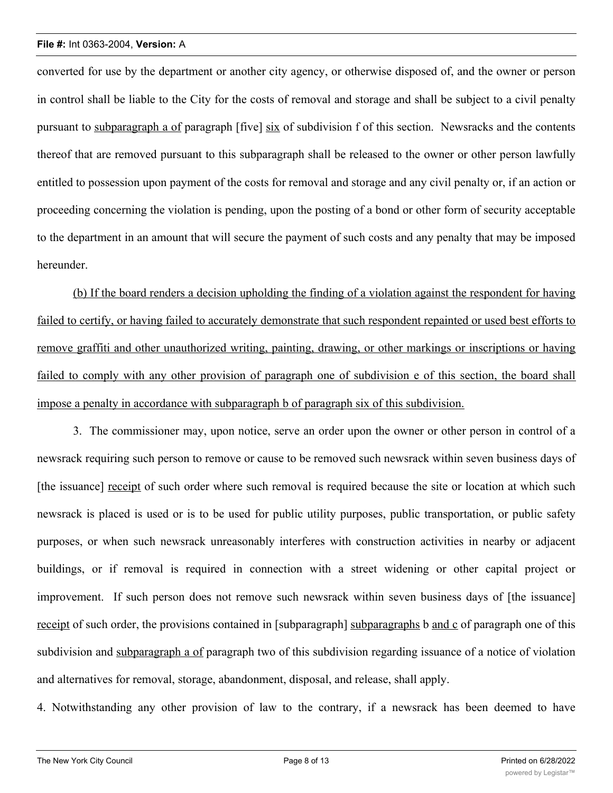converted for use by the department or another city agency, or otherwise disposed of, and the owner or person in control shall be liable to the City for the costs of removal and storage and shall be subject to a civil penalty pursuant to subparagraph a of paragraph [five] six of subdivision f of this section. Newsracks and the contents thereof that are removed pursuant to this subparagraph shall be released to the owner or other person lawfully entitled to possession upon payment of the costs for removal and storage and any civil penalty or, if an action or proceeding concerning the violation is pending, upon the posting of a bond or other form of security acceptable to the department in an amount that will secure the payment of such costs and any penalty that may be imposed hereunder.

(b) If the board renders a decision upholding the finding of a violation against the respondent for having failed to certify, or having failed to accurately demonstrate that such respondent repainted or used best efforts to remove graffiti and other unauthorized writing, painting, drawing, or other markings or inscriptions or having failed to comply with any other provision of paragraph one of subdivision e of this section, the board shall impose a penalty in accordance with subparagraph b of paragraph six of this subdivision.

3. The commissioner may, upon notice, serve an order upon the owner or other person in control of a newsrack requiring such person to remove or cause to be removed such newsrack within seven business days of [the issuance] receipt of such order where such removal is required because the site or location at which such newsrack is placed is used or is to be used for public utility purposes, public transportation, or public safety purposes, or when such newsrack unreasonably interferes with construction activities in nearby or adjacent buildings, or if removal is required in connection with a street widening or other capital project or improvement. If such person does not remove such newsrack within seven business days of [the issuance] receipt of such order, the provisions contained in [subparagraph] subparagraphs b and c of paragraph one of this subdivision and subparagraph a of paragraph two of this subdivision regarding issuance of a notice of violation and alternatives for removal, storage, abandonment, disposal, and release, shall apply.

4. Notwithstanding any other provision of law to the contrary, if a newsrack has been deemed to have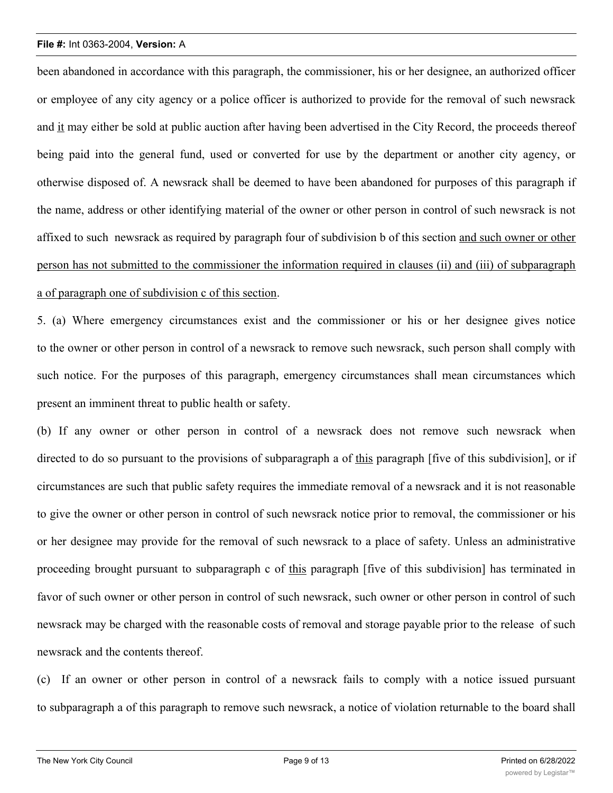been abandoned in accordance with this paragraph, the commissioner, his or her designee, an authorized officer or employee of any city agency or a police officer is authorized to provide for the removal of such newsrack and it may either be sold at public auction after having been advertised in the City Record, the proceeds thereof being paid into the general fund, used or converted for use by the department or another city agency, or otherwise disposed of. A newsrack shall be deemed to have been abandoned for purposes of this paragraph if the name, address or other identifying material of the owner or other person in control of such newsrack is not affixed to such newsrack as required by paragraph four of subdivision b of this section and such owner or other person has not submitted to the commissioner the information required in clauses (ii) and (iii) of subparagraph a of paragraph one of subdivision c of this section.

5. (a) Where emergency circumstances exist and the commissioner or his or her designee gives notice to the owner or other person in control of a newsrack to remove such newsrack, such person shall comply with such notice. For the purposes of this paragraph, emergency circumstances shall mean circumstances which present an imminent threat to public health or safety.

(b) If any owner or other person in control of a newsrack does not remove such newsrack when directed to do so pursuant to the provisions of subparagraph a of this paragraph [five of this subdivision], or if circumstances are such that public safety requires the immediate removal of a newsrack and it is not reasonable to give the owner or other person in control of such newsrack notice prior to removal, the commissioner or his or her designee may provide for the removal of such newsrack to a place of safety. Unless an administrative proceeding brought pursuant to subparagraph c of this paragraph [five of this subdivision] has terminated in favor of such owner or other person in control of such newsrack, such owner or other person in control of such newsrack may be charged with the reasonable costs of removal and storage payable prior to the release of such newsrack and the contents thereof.

(c) If an owner or other person in control of a newsrack fails to comply with a notice issued pursuant to subparagraph a of this paragraph to remove such newsrack, a notice of violation returnable to the board shall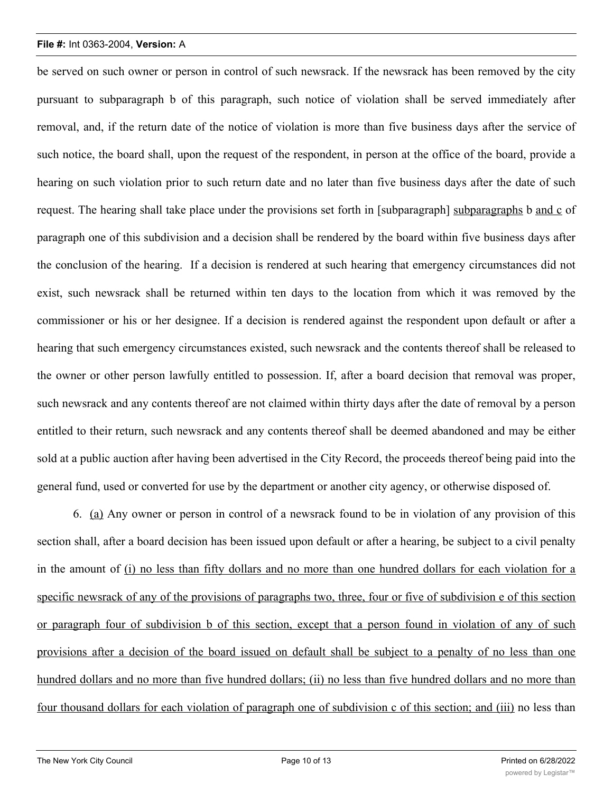be served on such owner or person in control of such newsrack. If the newsrack has been removed by the city pursuant to subparagraph b of this paragraph, such notice of violation shall be served immediately after removal, and, if the return date of the notice of violation is more than five business days after the service of such notice, the board shall, upon the request of the respondent, in person at the office of the board, provide a hearing on such violation prior to such return date and no later than five business days after the date of such request. The hearing shall take place under the provisions set forth in [subparagraph] subparagraphs b and c of paragraph one of this subdivision and a decision shall be rendered by the board within five business days after the conclusion of the hearing. If a decision is rendered at such hearing that emergency circumstances did not exist, such newsrack shall be returned within ten days to the location from which it was removed by the commissioner or his or her designee. If a decision is rendered against the respondent upon default or after a hearing that such emergency circumstances existed, such newsrack and the contents thereof shall be released to the owner or other person lawfully entitled to possession. If, after a board decision that removal was proper, such newsrack and any contents thereof are not claimed within thirty days after the date of removal by a person entitled to their return, such newsrack and any contents thereof shall be deemed abandoned and may be either sold at a public auction after having been advertised in the City Record, the proceeds thereof being paid into the general fund, used or converted for use by the department or another city agency, or otherwise disposed of.

6. (a) Any owner or person in control of a newsrack found to be in violation of any provision of this section shall, after a board decision has been issued upon default or after a hearing, be subject to a civil penalty in the amount of (i) no less than fifty dollars and no more than one hundred dollars for each violation for a specific newsrack of any of the provisions of paragraphs two, three, four or five of subdivision e of this section or paragraph four of subdivision b of this section, except that a person found in violation of any of such provisions after a decision of the board issued on default shall be subject to a penalty of no less than one hundred dollars and no more than five hundred dollars; (ii) no less than five hundred dollars and no more than four thousand dollars for each violation of paragraph one of subdivision c of this section; and (iii) no less than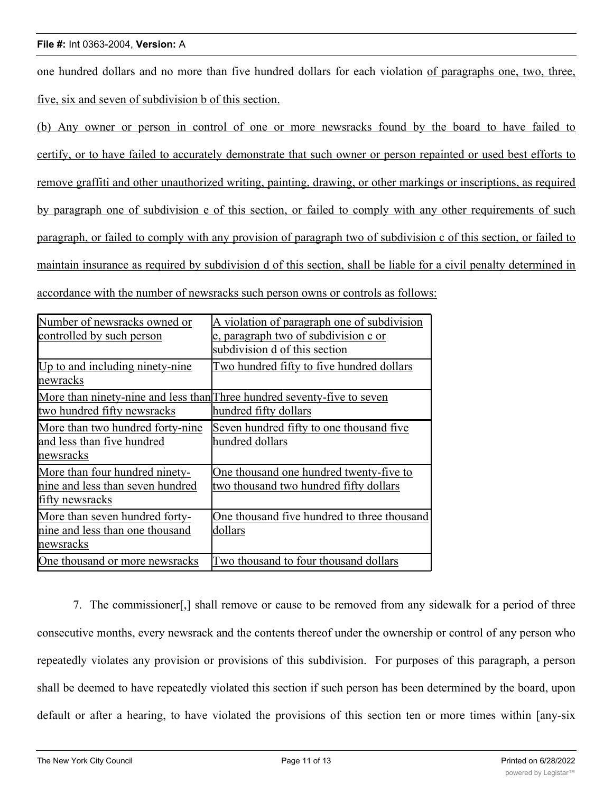one hundred dollars and no more than five hundred dollars for each violation of paragraphs one, two, three, five, six and seven of subdivision b of this section.

(b) Any owner or person in control of one or more newsracks found by the board to have failed to certify, or to have failed to accurately demonstrate that such owner or person repainted or used best efforts to remove graffiti and other unauthorized writing, painting, drawing, or other markings or inscriptions, as required by paragraph one of subdivision e of this section, or failed to comply with any other requirements of such paragraph, or failed to comply with any provision of paragraph two of subdivision c of this section, or failed to maintain insurance as required by subdivision d of this section, shall be liable for a civil penalty determined in accordance with the number of newsracks such person owns or controls as follows:

| Number of newsracks owned or     | A violation of paragraph one of subdivision                             |
|----------------------------------|-------------------------------------------------------------------------|
| controlled by such person        | e, paragraph two of subdivision c or                                    |
|                                  | subdivision d of this section                                           |
| Up to and including ninety-nine  | Two hundred fifty to five hundred dollars                               |
| newracks                         |                                                                         |
|                                  | More than ninety-nine and less than Three hundred seventy-five to seven |
| two hundred fifty newsracks      | hundred fifty dollars                                                   |
| More than two hundred forty-nine | Seven hundred fifty to one thousand five                                |
| and less than five hundred       | hundred dollars                                                         |
| newsracks                        |                                                                         |
| More than four hundred ninety-   | One thousand one hundred twenty-five to                                 |
| nine and less than seven hundred | two thousand two hundred fifty dollars                                  |
| fifty newsracks                  |                                                                         |
| More than seven hundred forty-   | One thousand five hundred to three thousand                             |
| nine and less than one thousand  | dollars                                                                 |
| newsracks                        |                                                                         |
| One thousand or more newsracks   | Two thousand to four thousand dollars                                   |

7. The commissioner[,] shall remove or cause to be removed from any sidewalk for a period of three consecutive months, every newsrack and the contents thereof under the ownership or control of any person who repeatedly violates any provision or provisions of this subdivision. For purposes of this paragraph, a person shall be deemed to have repeatedly violated this section if such person has been determined by the board, upon default or after a hearing, to have violated the provisions of this section ten or more times within [any-six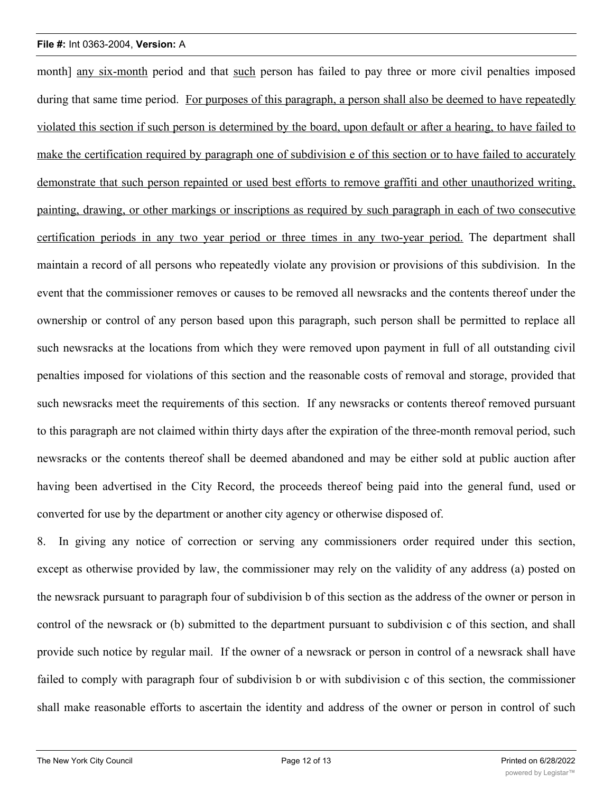month] any six-month period and that such person has failed to pay three or more civil penalties imposed during that same time period. For purposes of this paragraph, a person shall also be deemed to have repeatedly violated this section if such person is determined by the board, upon default or after a hearing, to have failed to make the certification required by paragraph one of subdivision e of this section or to have failed to accurately demonstrate that such person repainted or used best efforts to remove graffiti and other unauthorized writing, painting, drawing, or other markings or inscriptions as required by such paragraph in each of two consecutive certification periods in any two year period or three times in any two-year period. The department shall maintain a record of all persons who repeatedly violate any provision or provisions of this subdivision. In the event that the commissioner removes or causes to be removed all newsracks and the contents thereof under the ownership or control of any person based upon this paragraph, such person shall be permitted to replace all such newsracks at the locations from which they were removed upon payment in full of all outstanding civil penalties imposed for violations of this section and the reasonable costs of removal and storage, provided that such newsracks meet the requirements of this section. If any newsracks or contents thereof removed pursuant to this paragraph are not claimed within thirty days after the expiration of the three-month removal period, such newsracks or the contents thereof shall be deemed abandoned and may be either sold at public auction after having been advertised in the City Record, the proceeds thereof being paid into the general fund, used or converted for use by the department or another city agency or otherwise disposed of.

8. In giving any notice of correction or serving any commissioners order required under this section, except as otherwise provided by law, the commissioner may rely on the validity of any address (a) posted on the newsrack pursuant to paragraph four of subdivision b of this section as the address of the owner or person in control of the newsrack or (b) submitted to the department pursuant to subdivision c of this section, and shall provide such notice by regular mail. If the owner of a newsrack or person in control of a newsrack shall have failed to comply with paragraph four of subdivision b or with subdivision c of this section, the commissioner shall make reasonable efforts to ascertain the identity and address of the owner or person in control of such